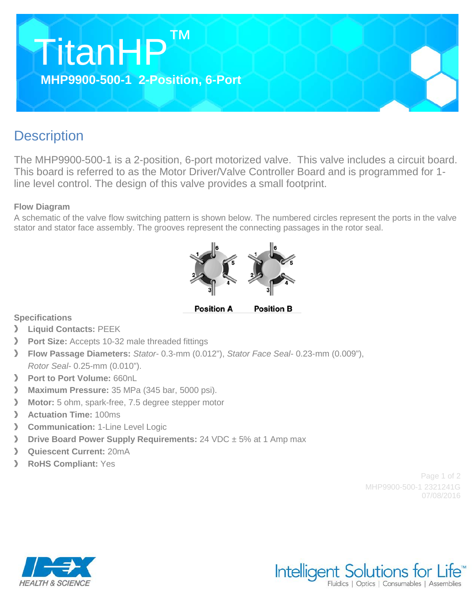

## **Description**

The MHP9900-500-1 is a 2-position, 6-port motorized valve. This valve includes a circuit board. This board is referred to as the Motor Driver/Valve Controller Board and is programmed for 1 line level control. The design of this valve provides a small footprint.

## **Flow Diagram**

A schematic of the valve flow switching pattern is shown below. The numbered circles represent the ports in the valve stator and stator face assembly. The grooves represent the connecting passages in the rotor seal.



**Position A Position B** 

**Specifications**

- $\sum$ **Liquid Contacts:** PEEK
- $\sum$ **Port Size:** Accepts 10-32 male threaded fittings
- **Flow Passage Diameters:** *Stator-* 0.3-mm (0.012"), *Stator Face Seal-* 0.23-mm (0.009"), *Rotor Seal-* 0.25-mm (0.010").
- $\mathcal{P}$ **Port to Port Volume:** 660nL
- $\sum_{i=1}^{n}$ **Maximum Pressure:** 35 MPa (345 bar, 5000 psi).
- $\mathcal{P}$ **Motor:** 5 ohm, spark-free, 7.5 degree stepper motor
- $\sum$ **Actuation Time:** 100ms
- $\sum$ **Communication: 1-Line Level Logic**
- $\rightarrow$ **Drive Board Power Supply Requirements:** 24 VDC  $\pm$  5% at 1 Amp max
- $\rightarrow$ **Quiescent Current:** 20mA
- **RoHS Compliant:** Yes  $\sum$

Page 1 of 2 MHP9900-500-1 2321241G 07/08/2016